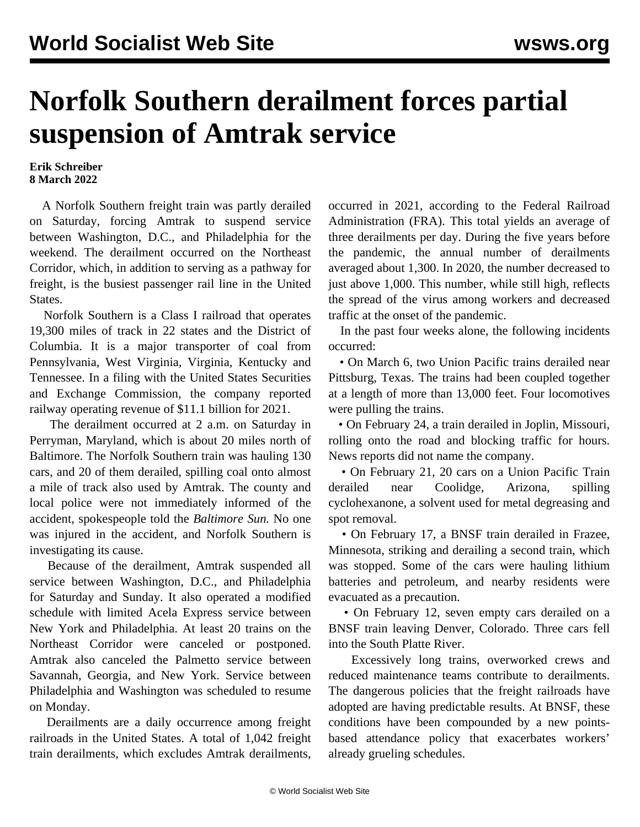## **Norfolk Southern derailment forces partial suspension of Amtrak service**

## **Erik Schreiber 8 March 2022**

 A Norfolk Southern freight train was partly derailed on Saturday, forcing Amtrak to suspend service between Washington, D.C., and Philadelphia for the weekend. The derailment occurred on the Northeast Corridor, which, in addition to serving as a pathway for freight, is the busiest passenger rail line in the United States.

 Norfolk Southern is a Class I railroad that operates 19,300 miles of track in 22 states and the District of Columbia. It is a major transporter of coal from Pennsylvania, West Virginia, Virginia, Kentucky and Tennessee. In a filing with the United States Securities and Exchange Commission, the company reported railway operating revenue of \$11.1 billion for 2021.

 The derailment occurred at 2 a.m. on Saturday in Perryman, Maryland, which is about 20 miles north of Baltimore. The Norfolk Southern train was hauling 130 cars, and 20 of them derailed, spilling coal onto almost a mile of track also used by Amtrak. The county and local police were not immediately informed of the accident, spokespeople told the *Baltimore Sun.* No one was injured in the accident, and Norfolk Southern is investigating its cause.

 Because of the derailment, Amtrak suspended all service between Washington, D.C., and Philadelphia for Saturday and Sunday. It also operated a modified schedule with limited Acela Express service between New York and Philadelphia. At least 20 trains on the Northeast Corridor were canceled or postponed. Amtrak also canceled the Palmetto service between Savannah, Georgia, and New York. Service between Philadelphia and Washington was scheduled to resume on Monday.

 Derailments are a daily occurrence among freight railroads in the United States. A total of 1,042 freight train derailments, which excludes Amtrak derailments,

occurred in 2021, according to the Federal Railroad Administration (FRA). This total yields an average of three derailments per day. During the five years before the pandemic, the annual number of derailments averaged about 1,300. In 2020, the number decreased to just above 1,000. This number, while still high, reflects the spread of the virus among workers and decreased traffic at the onset of the pandemic.

 In the past four weeks alone, the following incidents occurred:

 • On March 6, two Union Pacific trains derailed near Pittsburg, Texas. The trains had been coupled together at a length of more than 13,000 feet. Four locomotives were pulling the trains.

 • On February 24, a train derailed in Joplin, Missouri, rolling onto the road and blocking traffic for hours. News reports did not name the company.

 • On February 21, 20 cars on a Union Pacific Train derailed near Coolidge, Arizona, spilling cyclohexanone, a solvent used for metal degreasing and spot removal.

 • On February 17, a BNSF train derailed in Frazee, Minnesota, striking and derailing a second train, which was stopped. Some of the cars were hauling lithium batteries and petroleum, and nearby residents were evacuated as a precaution.

 • On February 12, seven empty cars derailed on a BNSF train leaving Denver, Colorado. Three cars fell into the South Platte River.

 Excessively long trains, overworked crews and reduced maintenance teams contribute to derailments. The dangerous policies that the freight railroads have adopted are having predictable results. At BNSF, these conditions have been compounded by a new pointsbased attendance policy that exacerbates workers' already grueling schedules.